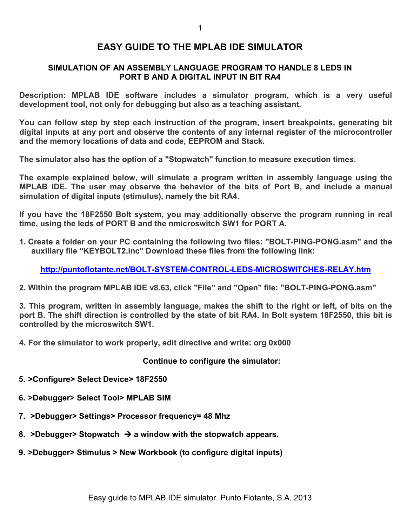## **EASY GUIDE TO THE MPLAB IDE SIMULATOR**

## **SIMULATION OF AN ASSEMBLY LANGUAGE PROGRAM TO HANDLE 8 LEDS IN PORT B AND A DIGITAL INPUT IN BIT RA4**

**Description: MPLAB IDE software includes a simulator program, which is a very useful development tool, not only for debugging but also as a teaching assistant.** 

**You can follow step by step each instruction of the program, insert breakpoints, generating bit digital inputs at any port and observe the contents of any internal register of the microcontroller and the memory locations of data and code, EEPROM and Stack.** 

**The simulator also has the option of a "Stopwatch" function to measure execution times.** 

**The example explained below, will simulate a program written in assembly language using the MPLAB IDE. The user may observe the behavior of the bits of Port B, and include a manual simulation of digital inputs (stimulus), namely the bit RA4.** 

**If you have the 18F2550 Bolt system, you may additionally observe the program running in real time, using the leds of PORT B and the nmicroswitch SW1 for PORT A.** 

**1. Create a folder on your PC containing the following two files: "BOLT-PING-PONG.asm" and the auxiliary file "KEYBOLT2.inc" Download these files from the following link:** 

**http://puntoflotante.net/BOLT-SYSTEM-CONTROL-LEDS-MICROSWITCHES-RELAY.htm**

**2. Within the program MPLAB IDE v8.63, click "File" and "Open" file: "BOLT-PING-PONG.asm"** 

**3. This program, written in assembly language, makes the shift to the right or left, of bits on the port B. The shift direction is controlled by the state of bit RA4. In Bolt system 18F2550, this bit is controlled by the microswitch SW1.** 

**4. For the simulator to work properly, edit directive and write: org 0x000** 

**Continue to configure the simulator:** 

- **5. >Configure> Select Device> 18F2550**
- **6. >Debugger> Select Tool> MPLAB SIM**
- **7. >Debugger> Settings> Processor frequency= 48 Mhz**
- **8. >Debugger> Stopwatch a window with the stopwatch appears.**
- **9. >Debugger> Stimulus > New Workbook (to configure digital inputs)**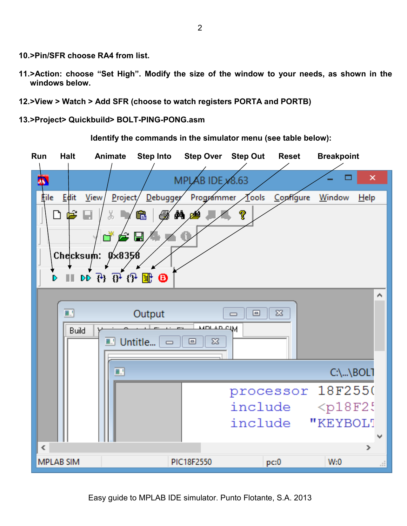- **10. >Pin/SFR choose RA4 from list.**
- **11. >Action: choose "Set High". Modify the size of the window to your needs, as shown in the windows below.**
- **12. >View > Watch > Add SFR (choose to watch registers PORTA and PORTB)**

**13. >Project> Quickbuild> BOLT-PING-PONG.asm** 

**Run Halt Animate Step Into Step Over Step Out Reset Breakpoint**   $\overline{\mathbf{x}}$ **MPL** AB IDE x 8.63 Edit View Project Debugger Programmer Tools Configure File Window Help X, Ġ đА pod ገ 扈 н 7 ď  $0 \times 8358$ Checksum: 11 12 13 14 14 Θ ı D ۸ Output ■∴ 回  $\Sigma$  $\Box$ **IDLAD CIM** Build Untitle... 回  $\Sigma$ 84  $\Box$ п  $C:\...,BOL$ processor 18F2550 include  $<$ p $18F2$ include "KEYBOLT ∢  $\rightarrow$ **MPLAB SIM** PIC18F2550  $W:0$  $pc:0$ 

**Identify the commands in the simulator menu (see table below):**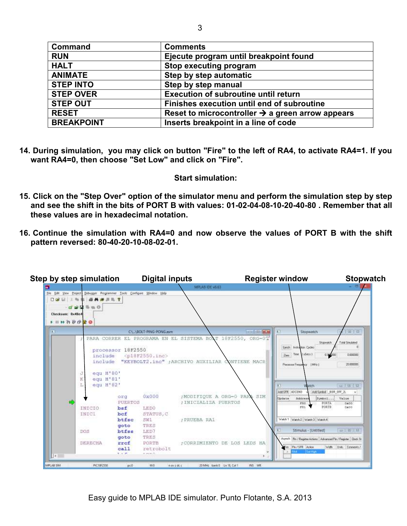| <b>Command</b>    | <b>Comments</b>                                              |
|-------------------|--------------------------------------------------------------|
| <b>RUN</b>        | Ejecute program until breakpoint found                       |
| <b>HALT</b>       | Stop executing program                                       |
| <b>ANIMATE</b>    | Step by step automatic                                       |
| <b>STEP INTO</b>  | Step by step manual                                          |
| <b>STEP OVER</b>  | <b>Execution of subroutine until return</b>                  |
| <b>STEP OUT</b>   | Finishes execution until end of subroutine                   |
| <b>RESET</b>      | Reset to microcontroller $\rightarrow$ a green arrow appears |
| <b>BREAKPOINT</b> | Inserts breakpoint in a line of code                         |

**14. During simulation, you may click on button "Fire" to the left of RA4, to activate RA4=1. If you want RA4=0, then choose "Set Low" and click on "Fire".** 

## **Start simulation:**

- **15. Click on the "Step Over" option of the simulator menu and perform the simulation step by step and see the shift in the bits of PORT B with values: 01-02-04-08-10-20-40-80 . Remember that all these values are in hexadecimal notation.**
- **16. Continue the simulation with RA4=0 and now observe the values of PORT B with the shift pattern reversed: 80-40-20-10-08-02-01.**

| 9                     | <b>Step by step simulation</b>   |                                                 | <b>Digital inputs</b>                                  | MELAILIDE V6.63                                            | <b>Register window</b>                    |                                                              | <b>Stopwatch</b> |
|-----------------------|----------------------------------|-------------------------------------------------|--------------------------------------------------------|------------------------------------------------------------|-------------------------------------------|--------------------------------------------------------------|------------------|
| Ele Edit View Project |                                  | Debugger Programmer Tools Configure Window Help |                                                        |                                                            |                                           |                                                              |                  |
| 口空目                   | 函外水三三个<br>人物                     |                                                 |                                                        |                                                            |                                           |                                                              |                  |
|                       | <b>可穿圆垫电</b> 导                   |                                                 |                                                        |                                                            |                                           |                                                              |                  |
| Checksum: 0x48e4      |                                  |                                                 |                                                        |                                                            |                                           |                                                              |                  |
|                       |                                  |                                                 |                                                        |                                                            |                                           |                                                              |                  |
| <b>FIDO TO CHO</b>    |                                  |                                                 |                                                        |                                                            |                                           |                                                              |                  |
| 35                    |                                  |                                                 | CALABOLT-PING-PONG.asm                                 |                                                            | <b>THE REAL PROPERTY</b>                  | 国 23<br>Stopwatch                                            |                  |
|                       | 9                                |                                                 |                                                        | PARA CORRER EL PROGRAMA EN EL SISTEMA BOAT 18F2550, ORG-07 |                                           |                                                              |                  |
|                       |                                  |                                                 |                                                        |                                                            |                                           | Total Sinulated<br>Stopwatch<br>Swidt Instruction Cecles     | $\Omega$         |
|                       |                                  | processor 18F2550                               |                                                        |                                                            |                                           |                                                              |                  |
|                       | include                          |                                                 | <p18f2550.inc></p18f2550.inc>                          |                                                            | 2мх Тим (15есе).<br>0.000000<br>0.000,000 |                                                              |                  |
|                       |                                  |                                                 | include "KEYBOLT2.inc" ;ARCHIVO AUXILIAR CONTIENE MACR |                                                            | Piscessor Frequency   MHz  <br>20.000000  |                                                              |                  |
|                       |                                  |                                                 |                                                        |                                                            |                                           |                                                              |                  |
|                       | egu H'80'<br>Ð<br>egu H'81'<br>К |                                                 |                                                        |                                                            |                                           |                                                              |                  |
|                       | equ H'82'<br>L                   |                                                 |                                                        |                                                            |                                           |                                                              |                  |
|                       |                                  |                                                 |                                                        |                                                            | F                                         | 白田区<br>Watch                                                 |                  |
|                       |                                  | org                                             | 0x000                                                  | :MODIFIQUE A ORG-0 PARA SIM                                |                                           | AddSFR ACCUND<br>AddSynbol 80R OFF 2L                        |                  |
|                       |                                  | PUERTOS                                         |                                                        | : INICIALIZA PUERTOS                                       | <b>Update</b>                             | Symbol<br>Address<br>Value<br><b>POBIA</b><br>280<br>0800    |                  |
|                       | INICIO                           | bsf                                             | LEDO                                                   |                                                            |                                           | PORTB<br>FBI<br>Oak00                                        |                  |
|                       | INICI                            | bef                                             | STATUS, C                                              |                                                            |                                           |                                                              |                  |
|                       |                                  | btfsc                                           | SW1                                                    | : PRUEBA RA1                                               |                                           | Welch 1 Watch 2 Watch 3 Watch 4                              |                  |
|                       |                                  | goto                                            | TRES                                                   |                                                            |                                           |                                                              |                  |
|                       | DOS                              | btfss                                           | LED7                                                   |                                                            |                                           | Stimulus - (Untitled)<br><b>DB</b>                           |                  |
|                       |                                  | goto                                            | TRES                                                   |                                                            |                                           | Asynch Fin / Regeler Actions Advanced Pin / Register Dack St |                  |
|                       | DERECHA                          | rref                                            | PORTB                                                  | ; CORRIMIENTO DE LOS LEDS HA                               |                                           | Width Units Connects/                                        |                  |
|                       |                                  | ca11                                            | retrobolt                                              |                                                            |                                           | Fre. Ph/SFR Acton<br>Bat High<br>544.                        |                  |
| $\mathbb{R}$          |                                  | 9.578                                           | w avenuel the                                          |                                                            |                                           |                                                              |                  |